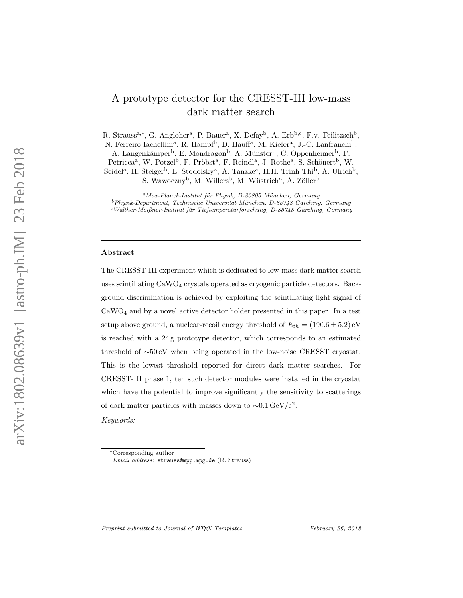# A prototype detector for the CRESST-III low-mass dark matter search

R. Strauss<sup>a,\*</sup>, G. Angloher<sup>a</sup>, P. Bauer<sup>a</sup>, X. Defay<sup>b</sup>, A. Erb<sup>b,c</sup>, F.v. Feilitzsch<sup>b</sup>, N. Ferreiro Iachellini<sup>a</sup>, R. Hampf<sup>b</sup>, D. Hauff<sup>a</sup>, M. Kiefer<sup>a</sup>, J.-C. Lanfranchi<sup>b</sup>,

A. Langenkämper<sup>b</sup>, E. Mondragon<sup>b</sup>, A. Münster<sup>b</sup>, C. Oppenheimer<sup>b</sup>, F.

Petricca<sup>a</sup>, W. Potzel<sup>b</sup>, F. Pröbst<sup>a</sup>, F. Reindl<sup>a</sup>, J. Rothe<sup>a</sup>, S. Schönert<sup>b</sup>, W.

Seidel<sup>a</sup>, H. Steiger<sup>b</sup>, L. Stodolsky<sup>a</sup>, A. Tanzke<sup>a</sup>, H.H. Trinh Thi<sup>b</sup>, A. Ulrich<sup>b</sup>,

S. Wawoczny<sup>b</sup>, M. Willers<sup>b</sup>, M. Wüstrich<sup>a</sup>, A. Zöller<sup>b</sup>

 $^{a}$ Max-Planck-Institut für Physik, D-80805 München, Germany

 $c$ Walther-Meißner-Institut für Tieftemperaturforschung, D-85748 Garching, Germany

# Abstract

The CRESST-III experiment which is dedicated to low-mass dark matter search uses scintillating CaWO <sup>4</sup> crystals operated as cryogenic particle detectors. Background discrimination is achieved by exploiting the scintillating light signal of CaWO <sup>4</sup> and by a novel active detector holder presented in this paper. In a test setup above ground, a nuclear-recoil energy threshold of  $E_{th} = (190.6 \pm 5.2)$  eV is reached with a 24 g prototype detector, which corresponds to an estimated threshold of ∼50 eV when being operated in the low-noise CRESST cryostat. This is the lowest threshold reported for direct dark matter searches. For CRESST-III phase 1, ten such detector modules were installed in the cryostat which have the potential to improve significantly the sensitivity to scatterings of dark matter particles with masses down to  $\sim 0.1 \,\text{GeV/c}^2$ .

Keywords:

Preprint submitted to Journal of IATFX Templates

 $^{b}$ Physik-Department, Technische Universität München, D-85748 Garching, Germany

<sup>∗</sup>Corresponding author

Email address: strauss@mpp.mpg.de (R. Strauss)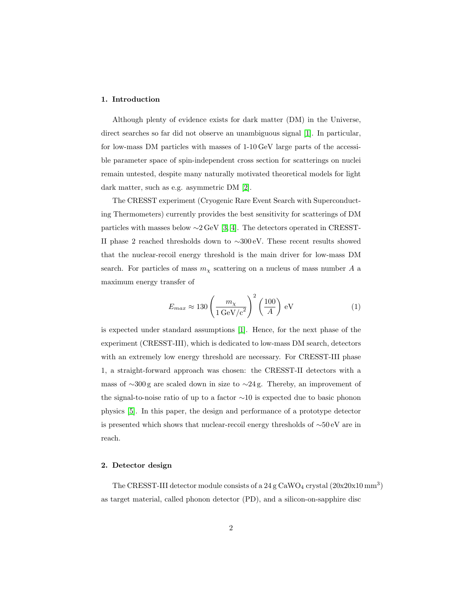# 1. Introduction

Although plenty of evidence exists for dark matter (DM) in the Universe, direct searches so far did not observe an unambiguous signal [\[1\]](#page-10-0). In particular, for low-mass DM particles with masses of 1-10 GeV large parts of the accessible parameter space of spin-independent cross section for scatterings on nuclei remain untested, despite many naturally motivated theoretical models for light dark matter, such as e.g. asymmetric DM [\[2\]](#page-10-1).

The CRESST experiment (Cryogenic Rare Event Search with Superconducting Thermometers) currently provides the best sensitivity for scatterings of DM particles with masses below ∼2 GeV [\[3,](#page-10-2) [4\]](#page-10-3). The detectors operated in CRESST-II phase 2 reached thresholds down to ∼300 eV. These recent results showed that the nuclear-recoil energy threshold is the main driver for low-mass DM search. For particles of mass  $m<sub>\chi</sub>$  scattering on a nucleus of mass number A a maximum energy transfer of

$$
E_{max} \approx 130 \left(\frac{m_{\chi}}{1 \,\text{GeV/c}^2}\right)^2 \left(\frac{100}{A}\right) \,\text{eV} \tag{1}
$$

is expected under standard assumptions [\[1\]](#page-10-0). Hence, for the next phase of the experiment (CRESST-III), which is dedicated to low-mass DM search, detectors with an extremely low energy threshold are necessary. For CRESST-III phase 1, a straight-forward approach was chosen: the CRESST-II detectors with a mass of ∼300 g are scaled down in size to ∼24 g. Thereby, an improvement of the signal-to-noise ratio of up to a factor ∼10 is expected due to basic phonon physics [\[5\]](#page-10-4). In this paper, the design and performance of a prototype detector is presented which shows that nuclear-recoil energy thresholds of ∼50 eV are in reach.

# 2. Detector design

The CRESST-III detector module consists of a  $24\,\mathrm{g}$  CaWO<sub>4</sub> crystal  $(20x20x10\,\mathrm{mm}^3)$ as target material, called phonon detector (PD), and a silicon-on-sapphire disc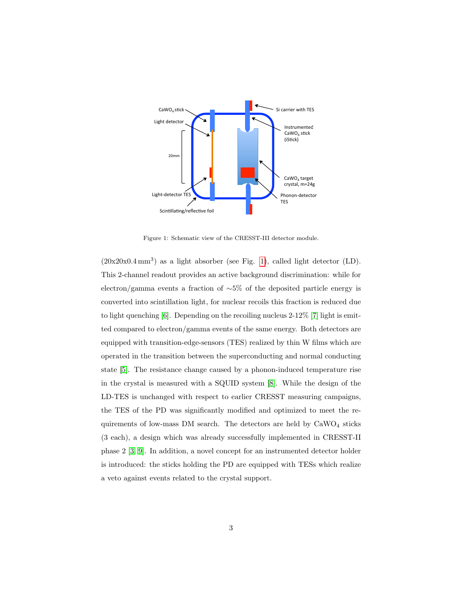

<span id="page-2-0"></span>Figure 1: Schematic view of the CRESST-III detector module.

 $(20x20x0.4 \text{ mm}^3)$  as a light absorber (see Fig. [1\)](#page-2-0), called light detector (LD). This 2-channel readout provides an active background discrimination: while for electron/gamma events a fraction of ∼5% of the deposited particle energy is converted into scintillation light, for nuclear recoils this fraction is reduced due to light quenching [\[6\]](#page-11-0). Depending on the recoiling nucleus 2-12% [\[7\]](#page-11-1) light is emitted compared to electron/gamma events of the same energy. Both detectors are equipped with transition-edge-sensors (TES) realized by thin W films which are operated in the transition between the superconducting and normal conducting state [\[5\]](#page-10-4). The resistance change caused by a phonon-induced temperature rise in the crystal is measured with a SQUID system [\[8\]](#page-11-2). While the design of the LD-TES is unchanged with respect to earlier CRESST measuring campaigns, the TES of the PD was significantly modified and optimized to meet the requirements of low-mass DM search. The detectors are held by  $CaWO<sub>4</sub>$  sticks (3 each), a design which was already successfully implemented in CRESST-II phase 2 [\[3,](#page-10-2) [9\]](#page-11-3). In addition, a novel concept for an instrumented detector holder is introduced: the sticks holding the PD are equipped with TESs which realize a veto against events related to the crystal support.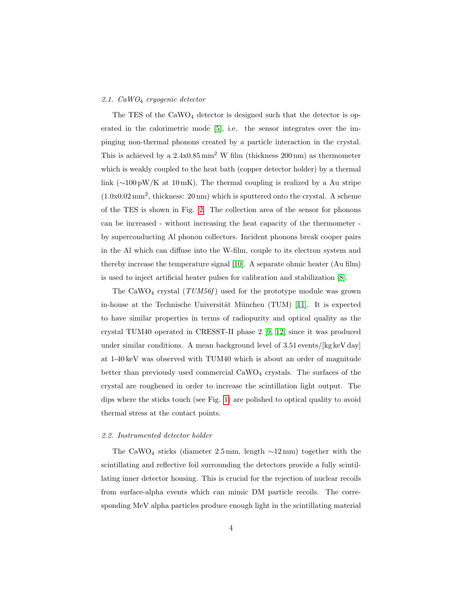### 2.1. CaWO<sup>4</sup> cryogenic detector

The TES of the  $CaWO<sub>4</sub>$  detector is designed such that the detector is operated in the calorimetric mode [\[5\]](#page-10-4), i.e. the sensor integrates over the impinging non-thermal phonons created by a particle interaction in the crystal. This is achieved by a  $2.4 \times 0.85$  mm<sup>2</sup> W film (thickness  $200 \text{ nm}$ ) as thermometer which is weakly coupled to the heat bath (copper detector holder) by a thermal link ( $\sim$ 100 pW/K at 10 mK). The thermal coupling is realized by a Au stripe (1.0x0.02 mm<sup>2</sup> , thickness: 20 nm) which is sputtered onto the crystal. A scheme of the TES is shown in Fig. [2.](#page-4-0) The collection area of the sensor for phonons can be increased - without increasing the heat capacity of the thermometer by superconducting Al phonon collectors. Incident phonons break cooper pairs in the Al which can diffuse into the W-film, couple to its electron system and thereby increase the temperature signal [\[10\]](#page-11-4). A separate ohmic heater (Au film) is used to inject artificial heater pulses for calibration and stabilization [\[8\]](#page-11-2).

The CaWO<sub>4</sub> crystal  $(TUM56f)$  used for the prototype module was grown in-house at the Technische Universität München  $(TUM)$  [\[11\]](#page-11-5). It is expected to have similar properties in terms of radiopurity and optical quality as the crystal TUM40 operated in CRESST-II phase 2 [\[9,](#page-11-3) [12\]](#page-11-6) since it was produced under similar conditions. A mean background level of  $3.51$  events/[kg keV day] at 1-40 keV was observed with TUM40 which is about an order of magnitude better than previously used commercial  $CaWO<sub>4</sub>$  crystals. The surfaces of the crystal are roughened in order to increase the scintillation light output. The dips where the sticks touch (see Fig. [1\)](#page-2-0) are polished to optical quality to avoid thermal stress at the contact points.

#### 2.2. Instrumented detector holder

The CaWO<sub>4</sub> sticks (diameter 2.5 mm, length  $\sim$ 12 mm) together with the scintillating and reflective foil surrounding the detectors provide a fully scintillating inner detector housing. This is crucial for the rejection of nuclear recoils from surface-alpha events which can mimic DM particle recoils. The corresponding MeV alpha particles produce enough light in the scintillating material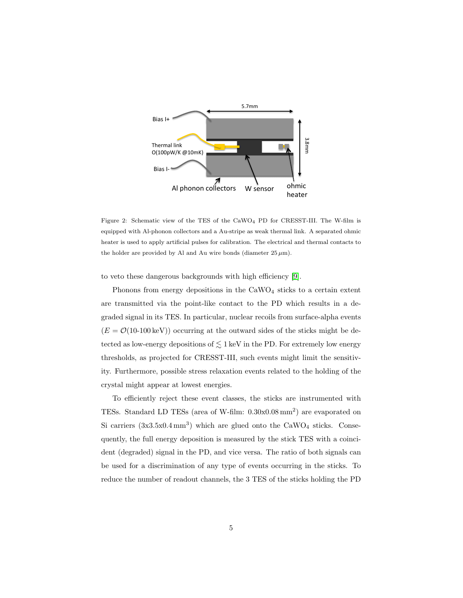

<span id="page-4-0"></span>Figure 2: Schematic view of the TES of the CaWO<sup>4</sup> PD for CRESST-III. The W-film is equipped with Al-phonon collectors and a Au-stripe as weak thermal link. A separated ohmic heater is used to apply artificial pulses for calibration. The electrical and thermal contacts to the holder are provided by Al and Au wire bonds (diameter  $25 \mu m$ ).

to veto these dangerous backgrounds with high efficiency [\[9\]](#page-11-3).

Phonons from energy depositions in the  $CaWO<sub>4</sub>$  sticks to a certain extent are transmitted via the point-like contact to the PD which results in a degraded signal in its TES. In particular, nuclear recoils from surface-alpha events  $(E = \mathcal{O}(10{\text -}100 \,\text{keV}))$  occurring at the outward sides of the sticks might be detected as low-energy depositions of  $\lesssim$  1 keV in the PD. For extremely low energy thresholds, as projected for CRESST-III, such events might limit the sensitivity. Furthermore, possible stress relaxation events related to the holding of the crystal might appear at lowest energies.

To efficiently reject these event classes, the sticks are instrumented with TESs. Standard LD TESs (area of W-film: 0.30x0.08 mm<sup>2</sup> ) are evaporated on Si carriers  $(3x3.5x0.4 \text{ mm}^3)$  which are glued onto the CaWO<sub>4</sub> sticks. Consequently, the full energy deposition is measured by the stick TES with a coincident (degraded) signal in the PD, and vice versa. The ratio of both signals can be used for a discrimination of any type of events occurring in the sticks. To reduce the number of readout channels, the 3 TES of the sticks holding the PD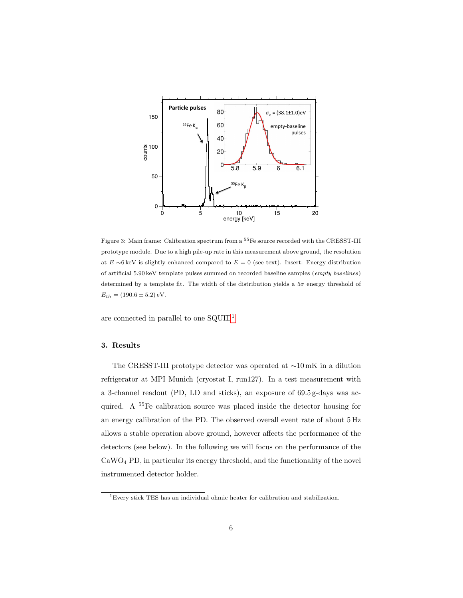

<span id="page-5-1"></span>Figure 3: Main frame: Calibration spectrum from a <sup>55</sup>Fe source recorded with the CRESST-III prototype module. Due to a high pile-up rate in this measurement above ground, the resolution at  $E \sim 6 \,\text{keV}$  is slightly enhanced compared to  $E = 0$  (see text). Insert: Energy distribution of artificial 5.90 keV template pulses summed on recorded baseline samples (empty baselines) determined by a template fit. The width of the distribution yields a  $5\sigma$  energy threshold of  $E_{th} = (190.6 \pm 5.2) \text{ eV}.$ 

are connected in parallel to one  $\text{SQUID}^1$  $\text{SQUID}^1$ .

# 3. Results

The CRESST-III prototype detector was operated at ∼10 mK in a dilution refrigerator at MPI Munich (cryostat I, run127). In a test measurement with a 3-channel readout (PD, LD and sticks), an exposure of 69.5 g-days was acquired. A <sup>55</sup>Fe calibration source was placed inside the detector housing for an energy calibration of the PD. The observed overall event rate of about 5 Hz allows a stable operation above ground, however affects the performance of the detectors (see below). In the following we will focus on the performance of the CaWO<sup>4</sup> PD, in particular its energy threshold, and the functionality of the novel instrumented detector holder.

<span id="page-5-0"></span> $^1\rm{Every}$  stick TES has an individual ohmic heater for calibration and stabilization.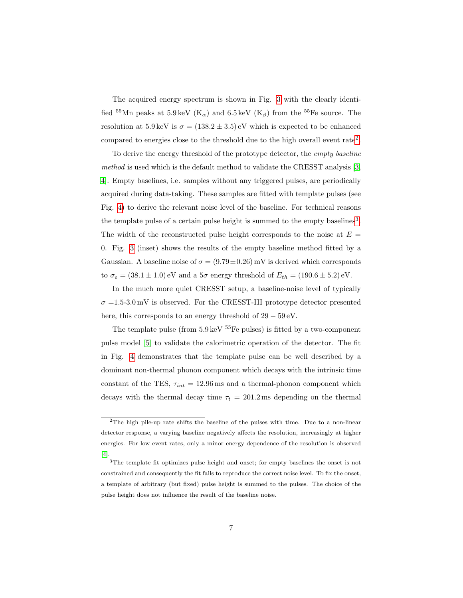The acquired energy spectrum is shown in Fig. [3](#page-5-1) with the clearly identified <sup>55</sup>Mn peaks at 5.9 keV (K<sub> $\alpha$ </sub>) and 6.5 keV (K<sub> $\beta$ </sub>) from the <sup>55</sup>Fe source. The resolution at 5.9 keV is  $\sigma = (138.2 \pm 3.5)$  eV which is expected to be enhanced compared to energies close to the threshold due to the high overall event rate<sup>[2](#page-6-0)</sup>.

To derive the energy threshold of the prototype detector, the empty baseline method is used which is the default method to validate the CRESST analysis [\[3,](#page-10-2) [4\]](#page-10-3). Empty baselines, i.e. samples without any triggered pulses, are periodically acquired during data-taking. These samples are fitted with template pulses (see Fig. [4\)](#page-7-0) to derive the relevant noise level of the baseline. For technical reasons the template pulse of a certain pulse height is summed to the empty baselines<sup>[3](#page-6-1)</sup>. The width of the reconstructed pulse height corresponds to the noise at  $E =$ 0. Fig. [3](#page-5-1) (inset) shows the results of the empty baseline method fitted by a Gaussian. A baseline noise of  $\sigma = (9.79 \pm 0.26)$  mV is derived which corresponds to  $\sigma_e = (38.1 \pm 1.0)$  eV and a  $5\sigma$  energy threshold of  $E_{th} = (190.6 \pm 5.2)$  eV.

In the much more quiet CRESST setup, a baseline-noise level of typically  $\sigma = 1.5{\text -}3.0 \text{ mV}$  is observed. For the CRESST-III prototype detector presented here, this corresponds to an energy threshold of  $29 - 59 \text{ eV}$ .

The template pulse (from  $5.9 \,\text{keV}$   $55\,\text{Fe}$  pulses) is fitted by a two-component pulse model [\[5\]](#page-10-4) to validate the calorimetric operation of the detector. The fit in Fig. [4](#page-7-0) demonstrates that the template pulse can be well described by a dominant non-thermal phonon component which decays with the intrinsic time constant of the TES,  $\tau_{int} = 12.96 \text{ ms}$  and a thermal-phonon component which decays with the thermal decay time  $\tau_t = 201.2$  ms depending on the thermal

<span id="page-6-0"></span><sup>2</sup>The high pile-up rate shifts the baseline of the pulses with time. Due to a non-linear detector response, a varying baseline negatively affects the resolution, increasingly at higher energies. For low event rates, only a minor energy dependence of the resolution is observed [\[4\]](#page-10-3).

<span id="page-6-1"></span><sup>3</sup>The template fit optimizes pulse height and onset; for empty baselines the onset is not constrained and consequently the fit fails to reproduce the correct noise level. To fix the onset, a template of arbitrary (but fixed) pulse height is summed to the pulses. The choice of the pulse height does not influence the result of the baseline noise.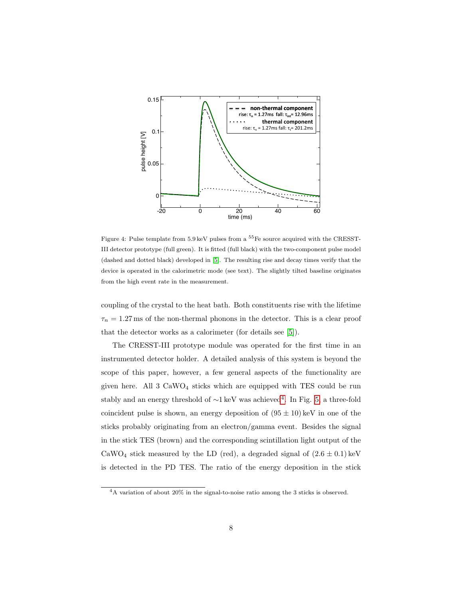

<span id="page-7-0"></span>Figure 4: Pulse template from 5.9 keV pulses from a <sup>55</sup>Fe source acquired with the CRESST-III detector prototype (full green). It is fitted (full black) with the two-component pulse model (dashed and dotted black) developed in [\[5\]](#page-10-4). The resulting rise and decay times verify that the device is operated in the calorimetric mode (see text). The slightly tilted baseline originates from the high event rate in the measurement.

coupling of the crystal to the heat bath. Both constituents rise with the lifetime  $\tau_n = 1.27$  ms of the non-thermal phonons in the detector. This is a clear proof that the detector works as a calorimeter (for details see [\[5\]](#page-10-4)).

The CRESST-III prototype module was operated for the first time in an instrumented detector holder. A detailed analysis of this system is beyond the scope of this paper, however, a few general aspects of the functionality are given here. All  $3 \text{ CaWO}_4$  sticks which are equipped with TES could be run stably and an energy threshold of ~1 keV was achieved<sup>[4](#page-7-1)</sup>. In Fig. [5,](#page-8-0) a three-fold coincident pulse is shown, an energy deposition of  $(95 \pm 10)$  keV in one of the sticks probably originating from an electron/gamma event. Besides the signal in the stick TES (brown) and the corresponding scintillation light output of the CaWO<sub>4</sub> stick measured by the LD (red), a degraded signal of  $(2.6 \pm 0.1)$  keV is detected in the PD TES. The ratio of the energy deposition in the stick

<span id="page-7-1"></span><sup>4</sup>A variation of about 20% in the signal-to-noise ratio among the 3 sticks is observed.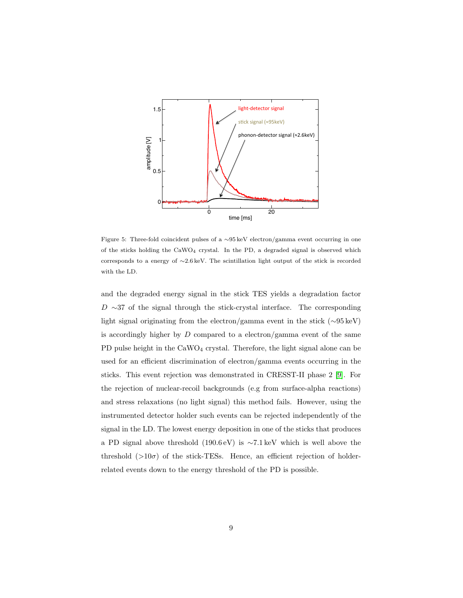

<span id="page-8-0"></span>Figure 5: Three-fold coincident pulses of a ∼95 keV electron/gamma event occurring in one of the sticks holding the  $CaWO_4$  crystal. In the PD, a degraded signal is observed which corresponds to a energy of ∼2.6 keV. The scintillation light output of the stick is recorded with the LD.

and the degraded energy signal in the stick TES yields a degradation factor  $D \sim 37$  of the signal through the stick-crystal interface. The corresponding light signal originating from the electron/gamma event in the stick (∼95 keV) is accordingly higher by  $D$  compared to a electron/gamma event of the same PD pulse height in the CaWO<sub>4</sub> crystal. Therefore, the light signal alone can be used for an efficient discrimination of electron/gamma events occurring in the sticks. This event rejection was demonstrated in CRESST-II phase 2 [\[9\]](#page-11-3). For the rejection of nuclear-recoil backgrounds (e.g from surface-alpha reactions) and stress relaxations (no light signal) this method fails. However, using the instrumented detector holder such events can be rejected independently of the signal in the LD. The lowest energy deposition in one of the sticks that produces a PD signal above threshold (190.6 eV) is ∼7.1 keV which is well above the threshold  $(>10\sigma)$  of the stick-TESs. Hence, an efficient rejection of holderrelated events down to the energy threshold of the PD is possible.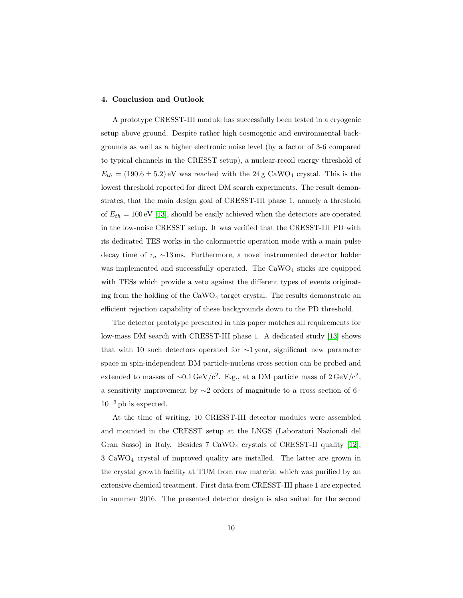### 4. Conclusion and Outlook

A prototype CRESST-III module has successfully been tested in a cryogenic setup above ground. Despite rather high cosmogenic and environmental backgrounds as well as a higher electronic noise level (by a factor of 3-6 compared to typical channels in the CRESST setup), a nuclear-recoil energy threshold of  $E_{th} = (190.6 \pm 5.2)$  eV was reached with the 24 g CaWO<sub>4</sub> crystal. This is the lowest threshold reported for direct DM search experiments. The result demonstrates, that the main design goal of CRESST-III phase 1, namely a threshold of  $E_{th} = 100 \,\text{eV}$  [\[13\]](#page-11-7), should be easily achieved when the detectors are operated in the low-noise CRESST setup. It was verified that the CRESST-III PD with its dedicated TES works in the calorimetric operation mode with a main pulse decay time of  $\tau_n \sim 13 \,\text{ms}$ . Furthermore, a novel instrumented detector holder was implemented and successfully operated. The  $CaWO<sub>4</sub>$  sticks are equipped with TESs which provide a veto against the different types of events originating from the holding of the  $\rm CaWO_4$  target crystal. The results demonstrate an efficient rejection capability of these backgrounds down to the PD threshold.

The detector prototype presented in this paper matches all requirements for low-mass DM search with CRESST-III phase 1. A dedicated study [\[13\]](#page-11-7) shows that with 10 such detectors operated for ∼1 year, significant new parameter space in spin-independent DM particle-nucleus cross section can be probed and extended to masses of ~0.1 GeV/c<sup>2</sup>. E.g., at a DM particle mass of  $2 \text{ GeV}/c^2$ , a sensitivity improvement by ∼2 orders of magnitude to a cross section of 6 ·  $10^{-6}$  pb is expected.

At the time of writing, 10 CRESST-III detector modules were assembled and mounted in the CRESST setup at the LNGS (Laboratori Nazionali del Gran Sasso) in Italy. Besides  $7 \text{ CaWO}_4$  crystals of CRESST-II quality  $[12]$ , 3 CaWO<sup>4</sup> crystal of improved quality are installed. The latter are grown in the crystal growth facility at TUM from raw material which was purified by an extensive chemical treatment. First data from CRESST-III phase 1 are expected in summer 2016. The presented detector design is also suited for the second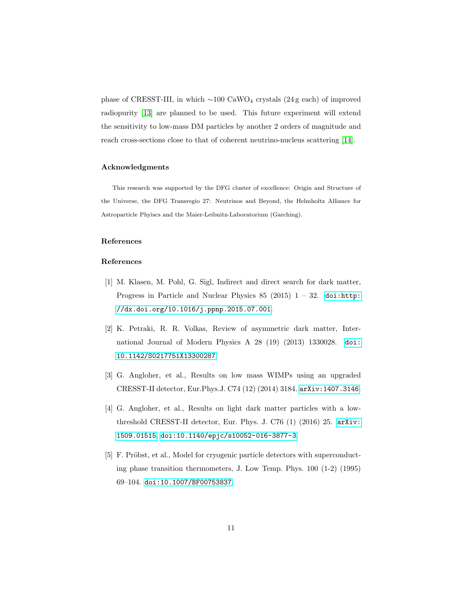phase of CRESST-III, in which  $\sim$ 100 CaWO<sub>4</sub> crystals (24 g each) of improved radiopurity [\[13\]](#page-11-7) are planned to be used. This future experiment will extend the sensitivity to low-mass DM particles by another 2 orders of magnitude and reach cross-sections close to that of coherent neutrino-nucleus scattering [\[14\]](#page-11-8).

# Acknowledgments

This research was supported by the DFG cluster of excellence: Origin and Structure of the Universe, the DFG Transregio 27: Neutrinos and Beyond, the Helmholtz Alliance for Astroparticle Phyiscs and the Maier-Leibnitz-Laboratorium (Garching).

# References

# References

- <span id="page-10-0"></span>[1] M. Klasen, M. Pohl, G. Sigl, Indirect and direct search for dark matter, Progress in Particle and Nuclear Physics 85 (2015)  $1 - 32$ . [doi:http:](http://dx.doi.org/http://dx.doi.org/10.1016/j.ppnp.2015.07.001) [//dx.doi.org/10.1016/j.ppnp.2015.07.001](http://dx.doi.org/http://dx.doi.org/10.1016/j.ppnp.2015.07.001).
- <span id="page-10-1"></span>[2] K. Petraki, R. R. Volkas, Review of asymmetric dark matter, International Journal of Modern Physics A 28 (19) (2013) 1330028. [doi:](http://dx.doi.org/10.1142/S0217751X13300287) [10.1142/S0217751X13300287](http://dx.doi.org/10.1142/S0217751X13300287).
- <span id="page-10-2"></span>[3] G. Angloher, et al., Results on low mass WIMPs using an upgraded CRESST-II detector, Eur.Phys.J. C74 (12) (2014) 3184. [arXiv:1407.3146](http://arxiv.org/abs/1407.3146).
- <span id="page-10-3"></span>[4] G. Angloher, et al., Results on light dark matter particles with a lowthreshold CRESST-II detector, Eur. Phys. J. C76 (1) (2016) 25. [arXiv:](http://arxiv.org/abs/1509.01515) [1509.01515](http://arxiv.org/abs/1509.01515), [doi:10.1140/epjc/s10052-016-3877-3](http://dx.doi.org/10.1140/epjc/s10052-016-3877-3).
- <span id="page-10-4"></span>[5] F. Pröbst, et al., Model for cryogenic particle detectors with superconducting phase transition thermometers, J. Low Temp. Phys. 100 (1-2) (1995) 69–104. [doi:10.1007/BF00753837](http://dx.doi.org/10.1007/BF00753837).